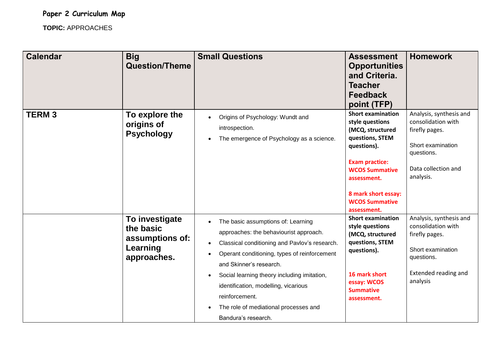**Paper 2 Curriculum Map**

**TOPIC:** APPROACHES

| <b>Calendar</b> | <b>Big</b><br><b>Question/Theme</b>                                       | <b>Small Questions</b>                                                                                                                                                                                                                                                                                                                                                                                      | <b>Assessment</b><br><b>Opportunities</b><br>and Criteria.<br><b>Teacher</b><br><b>Feedback</b><br>point (TFP)                                                                                                                    | <b>Homework</b>                                                                                                                               |
|-----------------|---------------------------------------------------------------------------|-------------------------------------------------------------------------------------------------------------------------------------------------------------------------------------------------------------------------------------------------------------------------------------------------------------------------------------------------------------------------------------------------------------|-----------------------------------------------------------------------------------------------------------------------------------------------------------------------------------------------------------------------------------|-----------------------------------------------------------------------------------------------------------------------------------------------|
| <b>TERM3</b>    | To explore the<br>origins of<br><b>Psychology</b>                         | Origins of Psychology: Wundt and<br>introspection.<br>The emergence of Psychology as a science.<br>$\bullet$                                                                                                                                                                                                                                                                                                | <b>Short examination</b><br>style questions<br>(MCQ, structured<br>questions, STEM<br>questions).<br><b>Exam practice:</b><br><b>WCOS Summative</b><br>assessment.<br>8 mark short essay:<br><b>WCOS Summative</b><br>assessment. | Analysis, synthesis and<br>consolidation with<br>firefly pages.<br>Short examination<br>questions.<br>Data collection and<br>analysis.        |
|                 | To investigate<br>the basic<br>assumptions of:<br>Learning<br>approaches. | The basic assumptions of: Learning<br>approaches: the behaviourist approach.<br>Classical conditioning and Pavlov's research.<br>$\bullet$<br>Operant conditioning, types of reinforcement<br>and Skinner's research.<br>Social learning theory including imitation,<br>$\bullet$<br>identification, modelling, vicarious<br>reinforcement.<br>The role of mediational processes and<br>Bandura's research. | <b>Short examination</b><br>style questions<br>(MCQ, structured<br>questions, STEM<br>questions).<br>16 mark short<br>essay: WCOS<br><b>Summative</b><br>assessment.                                                              | Analysis, synthesis and<br>consolidation with<br>firefly pages.<br>Short examination<br>questions.<br><b>Extended reading and</b><br>analysis |